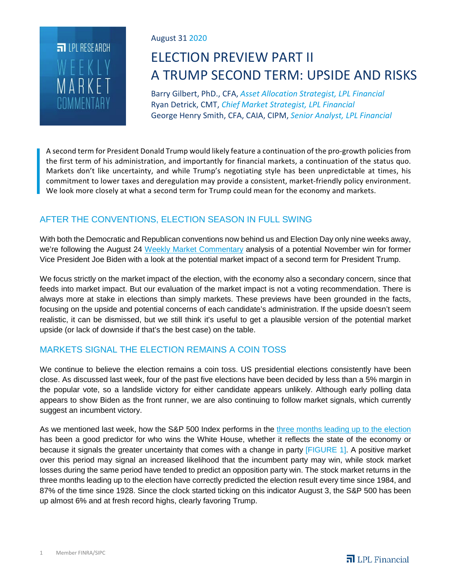

### August 31 2020

# ELECTION PREVIEW PART II A TRUMP SECOND TERM: UPSIDE AND RISKS

Barry Gilbert, PhD., CFA, *Asset Allocation Strategist, LPL Financial* Ryan Detrick, CMT, *Chief Market Strategist, LPL Financial* George Henry Smith, CFA, CAIA, CIPM, *Senior Analyst, LPL Financial*

A second term for President Donald Trump would likely feature a continuation of the pro-growth policies from the first term of his administration, and importantly for financial markets, a continuation of the status quo. Markets don't like uncertainty, and while Trump's negotiating style has been unpredictable at times, his commitment to lower taxes and deregulation may provide a consistent, market-friendly policy environment. We look more closely at what a second term for Trump could mean for the economy and markets.

## AFTER THE CONVENTIONS, ELECTION SEASON IN FULL SWING

With both the Democratic and Republican conventions now behind us and Election Day only nine weeks away, we're following the August 24 Weekly Market Commentary analysis of a potential November win for former Vice President Joe Biden with a look at the potential market impact of a second term for President Trump.

We focus strictly on the market impact of the election, with the economy also a secondary concern, since that feeds into market impact. But our evaluation of the market impact is not a voting recommendation. There is always more at stake in elections than simply markets. These previews have been grounded in the facts, focusing on the upside and potential concerns of each candidate's administration. If the upside doesn't seem realistic, it can be dismissed, but we still think it's useful to get a plausible version of the potential market upside (or lack of downside if that's the best case) on the table.

## MARKETS SIGNAL THE ELECTION REMAINS A COIN TOSS

We continue to believe the election remains a coin toss. US presidential elections consistently have been close. As discussed last week, four of the past five elections have been decided by less than a 5% margin in the popular vote, so a landslide victory for either candidate appears unlikely. Although early polling data appears to show Biden as the front runner, we are also continuing to follow market signals, which currently suggest an incumbent victory.

As we mentioned last week, how the S&P 500 Index performs in the three months leading up to the election has been a good predictor for who wins the White House, whether it reflects the state of the economy or because it signals the greater uncertainty that comes with a change in party [FIGURE 1]. A positive market over this period may signal an increased likelihood that the incumbent party may win, while stock market losses during the same period have tended to predict an opposition party win. The stock market returns in the three months leading up to the election have correctly predicted the election result every time since 1984, and 87% of the time since 1928. Since the clock started ticking on this indicator August 3, the S&P 500 has been up almost 6% and at fresh record highs, clearly favoring Trump.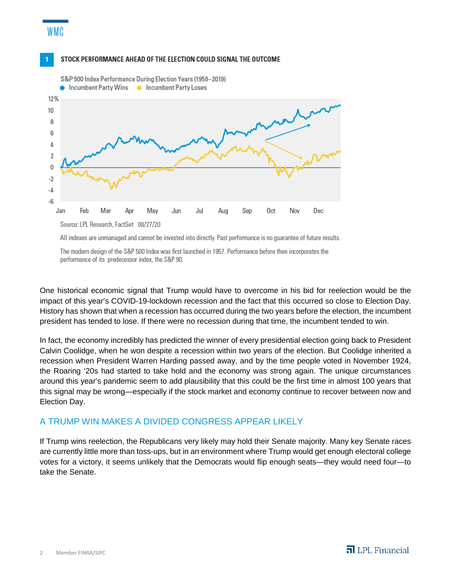## STOCK PERFORMANCE AHEAD OF THE ELECTION COULD SIGNAL THE OUTCOME

WMC



All indexes are unmanaged and cannot be invested into directly. Past performance is no guarantee of future results.

The modern design of the S&P 500 Index was first launched in 1957. Performance before then incorporates the performance of its predecessor index, the S&P 90.

One historical economic signal that Trump would have to overcome in his bid for reelection would be the impact of this year's COVID-19-lockdown recession and the fact that this occurred so close to Election Day. History has shown that when a recession has occurred during the two years before the election, the incumbent president has tended to lose. If there were no recession during that time, the incumbent tended to win.

In fact, the economy incredibly has predicted the winner of every presidential election going back to President Calvin Coolidge, when he won despite a recession within two years of the election. But Coolidge inherited a recession when President Warren Harding passed away, and by the time people voted in November 1924, the Roaring '20s had started to take hold and the economy was strong again. The unique circumstances around this year's pandemic seem to add plausibility that this could be the first time in almost 100 years that this signal may be wrong—especially if the stock market and economy continue to recover between now and Election Day.

## A TRUMP WIN MAKES A DIVIDED CONGRESS APPEAR LIKELY

If Trump wins reelection, the Republicans very likely may hold their Senate majority. Many key Senate races are currently little more than toss-ups, but in an environment where Trump would get enough electoral college votes for a victory, it seems unlikely that the Democrats would flip enough seats—they would need four—to take the Senate.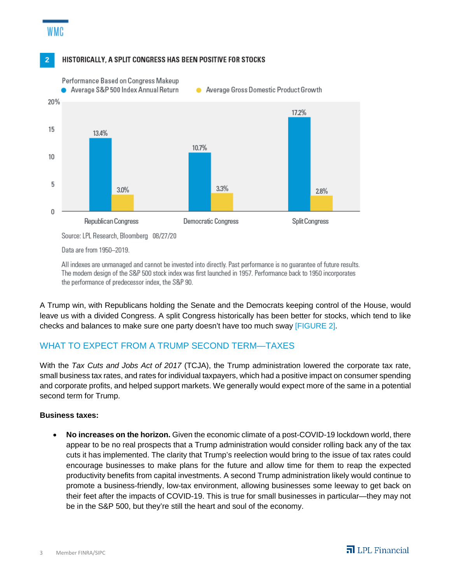

#### HISTORICALLY, A SPLIT CONGRESS HAS BEEN POSITIVE FOR STOCKS



All indexes are unmanaged and cannot be invested into directly. Past performance is no quarantee of future results. The modern design of the S&P 500 stock index was first launched in 1957. Performance back to 1950 incorporates the performance of predecessor index, the S&P 90.

A Trump win, with Republicans holding the Senate and the Democrats keeping control of the House, would leave us with a divided Congress. A split Congress historically has been better for stocks, which tend to like checks and balances to make sure one party doesn't have too much sway [FIGURE 2].

## WHAT TO EXPECT FROM A TRUMP SECOND TERM—TAXES

With the *Tax Cuts and Jobs Act of 2017* (TCJA), the Trump administration lowered the corporate tax rate, small business tax rates, and rates for individual taxpayers, which had a positive impact on consumer spending and corporate profits, and helped support markets. We generally would expect more of the same in a potential second term for Trump.

#### **Business taxes:**

• **No increases on the horizon.** Given the economic climate of a post-COVID-19 lockdown world, there appear to be no real prospects that a Trump administration would consider rolling back any of the tax cuts it has implemented. The clarity that Trump's reelection would bring to the issue of tax rates could encourage businesses to make plans for the future and allow time for them to reap the expected productivity benefits from capital investments. A second Trump administration likely would continue to promote a business-friendly, low-tax environment, allowing businesses some leeway to get back on their feet after the impacts of COVID-19. This is true for small businesses in particular—they may not be in the S&P 500, but they're still the heart and soul of the economy.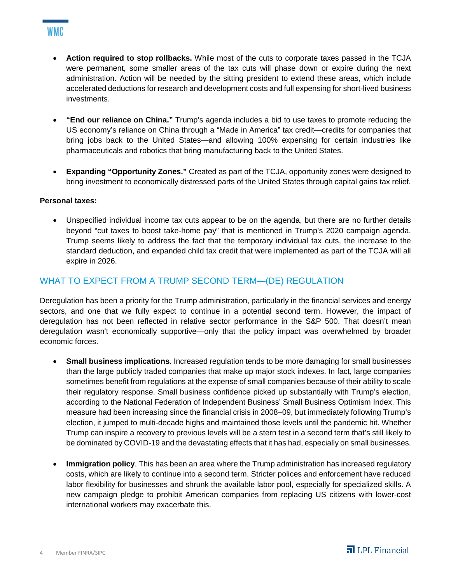- **Action required to stop rollbacks.** While most of the cuts to corporate taxes passed in the TCJA were permanent, some smaller areas of the tax cuts will phase down or expire during the next administration. Action will be needed by the sitting president to extend these areas, which include accelerated deductions for research and development costs and full expensing for short-lived business investments.
- **"End our reliance on China."** Trump's agenda includes a bid to use taxes to promote reducing the US economy's reliance on China through a "Made in America" tax credit—credits for companies that bring jobs back to the United States—and allowing 100% expensing for certain industries like pharmaceuticals and robotics that bring manufacturing back to the United States.
- **Expanding "Opportunity Zones."** Created as part of the TCJA, opportunity zones were designed to bring investment to economically distressed parts of the United States through capital gains tax relief.

#### **Personal taxes:**

• Unspecified individual income tax cuts appear to be on the agenda, but there are no further details beyond "cut taxes to boost take-home pay" that is mentioned in Trump's 2020 campaign agenda. Trump seems likely to address the fact that the temporary individual tax cuts, the increase to the standard deduction, and expanded child tax credit that were implemented as part of the TCJA will all expire in 2026.

## WHAT TO EXPECT FROM A TRUMP SECOND TERM—(DE) REGULATION

Deregulation has been a priority for the Trump administration, particularly in the financial services and energy sectors, and one that we fully expect to continue in a potential second term. However, the impact of deregulation has not been reflected in relative sector performance in the S&P 500. That doesn't mean deregulation wasn't economically supportive—only that the policy impact was overwhelmed by broader economic forces.

- **Small business implications**. Increased regulation tends to be more damaging for small businesses than the large publicly traded companies that make up major stock indexes. In fact, large companies sometimes benefit from regulations at the expense of small companies because of their ability to scale their regulatory response. Small business confidence picked up substantially with Trump's election, according to the National Federation of Independent Business' Small Business Optimism Index. This measure had been increasing since the financial crisis in 2008–09, but immediately following Trump's election, it jumped to multi-decade highs and maintained those levels until the pandemic hit. Whether Trump can inspire a recovery to previous levels will be a stern test in a second term that's still likely to be dominated by COVID-19 and the devastating effects that it has had, especially on small businesses.
- **Immigration policy**. This has been an area where the Trump administration has increased regulatory costs, which are likely to continue into a second term. Stricter polices and enforcement have reduced labor flexibility for businesses and shrunk the available labor pool, especially for specialized skills. A new campaign pledge to prohibit American companies from replacing US citizens with lower-cost international workers may exacerbate this.

## WMC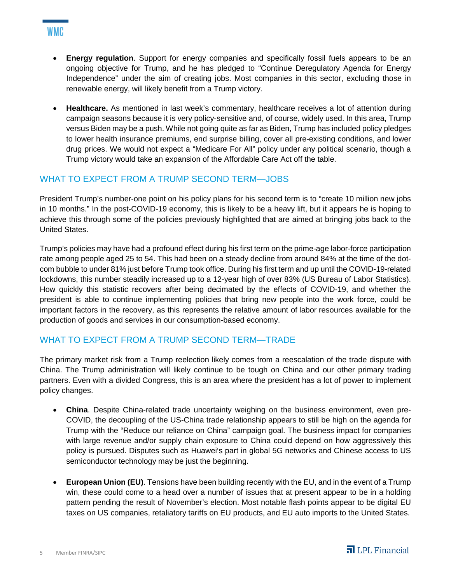- **Energy regulation**. Support for energy companies and specifically fossil fuels appears to be an ongoing objective for Trump, and he has pledged to "Continue Deregulatory Agenda for Energy Independence" under the aim of creating jobs. Most companies in this sector, excluding those in renewable energy, will likely benefit from a Trump victory.
- **Healthcare.** As mentioned in last week's commentary, healthcare receives a lot of attention during campaign seasons because it is very policy-sensitive and, of course, widely used. In this area, Trump versus Biden may be a push. While not going quite as far as Biden, Trump has included policy pledges to lower health insurance premiums, end surprise billing, cover all pre-existing conditions, and lower drug prices. We would not expect a "Medicare For All" policy under any political scenario, though a Trump victory would take an expansion of the Affordable Care Act off the table.

## WHAT TO EXPECT FROM A TRUMP SECOND TERM—JOBS

President Trump's number-one point on his policy plans for his second term is to "create 10 million new jobs in 10 months." In the post-COVID-19 economy, this is likely to be a heavy lift, but it appears he is hoping to achieve this through some of the policies previously highlighted that are aimed at bringing jobs back to the United States.

Trump's policies may have had a profound effect during his first term on the prime-age labor-force participation rate among people aged 25 to 54. This had been on a steady decline from around 84% at the time of the dotcom bubble to under 81% just before Trump took office. During his first term and up until the COVID-19-related lockdowns, this number steadily increased up to a 12-year high of over 83% (US Bureau of Labor Statistics). How quickly this statistic recovers after being decimated by the effects of COVID-19, and whether the president is able to continue implementing policies that bring new people into the work force, could be important factors in the recovery, as this represents the relative amount of labor resources available for the production of goods and services in our consumption-based economy.

## WHAT TO EXPECT FROM A TRUMP SECOND TERM—TRADE

The primary market risk from a Trump reelection likely comes from a reescalation of the trade dispute with China. The Trump administration will likely continue to be tough on China and our other primary trading partners. Even with a divided Congress, this is an area where the president has a lot of power to implement policy changes.

- **China**. Despite China-related trade uncertainty weighing on the business environment, even pre-COVID, the decoupling of the US-China trade relationship appears to still be high on the agenda for Trump with the "Reduce our reliance on China" campaign goal. The business impact for companies with large revenue and/or supply chain exposure to China could depend on how aggressively this policy is pursued. Disputes such as Huawei's part in global 5G networks and Chinese access to US semiconductor technology may be just the beginning.
- **European Union (EU)**. Tensions have been building recently with the EU, and in the event of a Trump win, these could come to a head over a number of issues that at present appear to be in a holding pattern pending the result of November's election. Most notable flash points appear to be digital EU taxes on US companies, retaliatory tariffs on EU products, and EU auto imports to the United States.

## WMC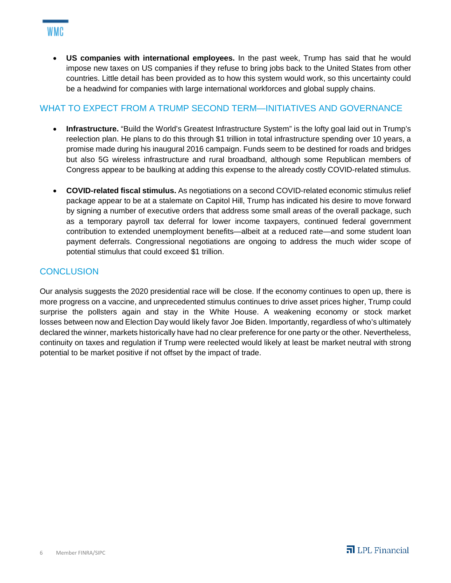• **US companies with international employees.** In the past week, Trump has said that he would impose new taxes on US companies if they refuse to bring jobs back to the United States from other countries. Little detail has been provided as to how this system would work, so this uncertainty could be a headwind for companies with large international workforces and global supply chains.

## WHAT TO EXPECT FROM A TRUMP SECOND TERM—INITIATIVES AND GOVERNANCE

- **Infrastructure.** "Build the World's Greatest Infrastructure System" is the lofty goal laid out in Trump's reelection plan. He plans to do this through \$1 trillion in total infrastructure spending over 10 years, a promise made during his inaugural 2016 campaign. Funds seem to be destined for roads and bridges but also 5G wireless infrastructure and rural broadband, although some Republican members of Congress appear to be baulking at adding this expense to the already costly COVID-related stimulus.
- **COVID-related fiscal stimulus.** As negotiations on a second COVID-related economic stimulus relief package appear to be at a stalemate on Capitol Hill, Trump has indicated his desire to move forward by signing a number of executive orders that address some small areas of the overall package, such as a temporary payroll tax deferral for lower income taxpayers, continued federal government contribution to extended unemployment benefits—albeit at a reduced rate—and some student loan payment deferrals. Congressional negotiations are ongoing to address the much wider scope of potential stimulus that could exceed \$1 trillion.

## **CONCLUSION**

WMC

Our analysis suggests the 2020 presidential race will be close. If the economy continues to open up, there is more progress on a vaccine, and unprecedented stimulus continues to drive asset prices higher, Trump could surprise the pollsters again and stay in the White House. A weakening economy or stock market losses between now and Election Day would likely favor Joe Biden. Importantly, regardless of who's ultimately declared the winner, markets historically have had no clear preference for one party or the other. Nevertheless, continuity on taxes and regulation if Trump were reelected would likely at least be market neutral with strong potential to be market positive if not offset by the impact of trade.